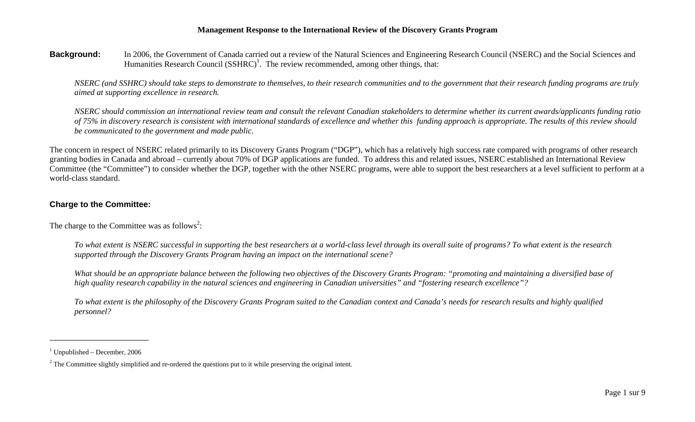**Background:** In 2006, the Government of Canada carried out a review of the Natural Sciences and Engineering Research Council (NSERC) and the Social Sciences and Humanities Research Council  $(SSHRC)^1$ . The review recommended, among other things, that:

*NSERC (and SSHRC) should take steps to demonstrate to themselves, to their research communities and to the government that their research funding programs are truly aimed at supporting excellence in research.* 

*NSERC should commission an international review team and consult the relevant Canadian stakeholders to determine whether its current awards/applicants funding ratio of 75% in discovery research is consistent with international standards of excellence and whether this funding approach is appropriate. The results of this review should be communicated to the government and made public.* 

The concern in respect of NSERC related primarily to its Discovery Grants Program ("DGP"), which has a relatively high success rate compared with programs of other research granting bodies in Canada and abroad – currently about 70% of DGP applications are funded. To address this and related issues, NSERC established an International Review Committee (the "Committee") to consider whether the DGP, together with the other NSERC programs, were able to support the best researchers at a level sufficient to perform at a world-class standard.

# **Charge to the Committee:**

The charge to the Committee was as follows<sup>2</sup>:

*To what extent is NSERC successful in supporting the best researchers at a world-class level through its overall suite of programs? To what extent is the research supported through the Discovery Grants Program having an impact on the international scene?* 

*What should be an appropriate balance between the following two objectives of the Discovery Grants Program: "promoting and maintaining a diversified base of high quality research capability in the natural sciences and engineering in Canadian universities" and "fostering research excellence"?* 

*To what extent is the philosophy of the Discovery Grants Program suited to the Canadian context and Canada's needs for research results and highly qualified personnel?* 

 $1$  Unpublished – December, 2006

 $<sup>2</sup>$  The Committee slightly simplified and re-ordered the questions put to it while preserving the original intent.</sup>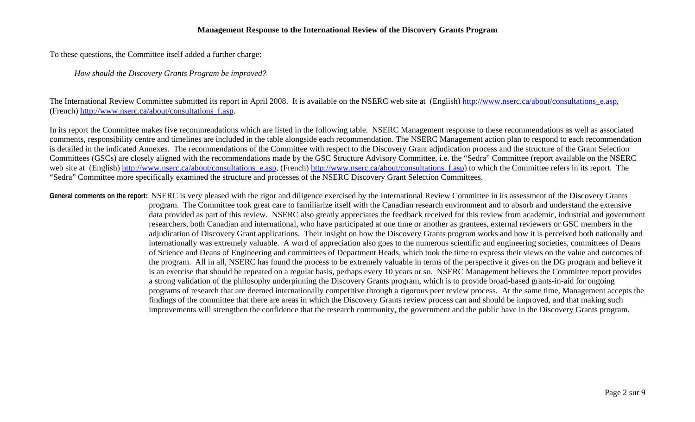To these questions, the Committee itself added a further charge:

*How should the Discovery Grants Program be improved?* 

The International Review Committee submitted its report in April 2008. It is available on the NSERC web site at (English) http://www.nserc.ca/about/consultations\_e.asp, (French) http://www.nserc.ca/about/consultations\_f.asp.

In its report the Committee makes five recommendations which are listed in the following table. NSERC Management response to these recommendations as well as associated comments, responsibility centre and timelines are included in the table alongside each recommendation. The NSERC Management action plan to respond to each recommendation is detailed in the indicated Annexes. The recommendations of the Committee with respect to the Discovery Grant adjudication process and the structure of the Grant Selection Committees (GSCs) are closely aligned with the recommendations made by the GSC Structure Advisory Committee, i.e. the "Sedra" Committee (report available on the NSERC web site at (English) http://www.nserc.ca/about/consultations\_e.asp, (French) http://www.nserc.ca/about/consultations\_f.asp) to which the Committee refers in its report. The "Sedra" Committee more specifically examined the structure and processes of the NSERC Discovery Grant Selection Committees.

**General comments on the report:** NSERC is very pleased with the rigor and diligence exercised by the International Review Committee in its assessment of the Discovery Grants program. The Committee took great care to familiarize itself with the Canadian research environment and to absorb and understand the extensive data provided as part of this review. NSERC also greatly appreciates the feedback received for this review from academic, industrial and government researchers, both Canadian and international, who have participated at one time or another as grantees, external reviewers or GSC members in the adjudication of Discovery Grant applications. Their insight on how the Discovery Grants program works and how it is perceived both nationally and internationally was extremely valuable. A word of appreciation also goes to the numerous scientific and engineering societies, committees of Deans of Science and Deans of Engineering and committees of Department Heads, which took the time to express their views on the value and outcomes of the program. All in all, NSERC has found the process to be extremely valuable in terms of the perspective it gives on the DG program and believe it is an exercise that should be repeated on a regular basis, perhaps every 10 years or so. NSERC Management believes the Committee report provides a strong validation of the philosophy underpinning the Discovery Grants program, which is to provide broad-based grants-in-aid for ongoing programs of research that are deemed internationally competitive through a rigorous peer review process. At the same time, Management accepts the findings of the committee that there are areas in which the Discovery Grants review process can and should be improved, and that making such improvements will strengthen the confidence that the research community, the government and the public have in the Discovery Grants program.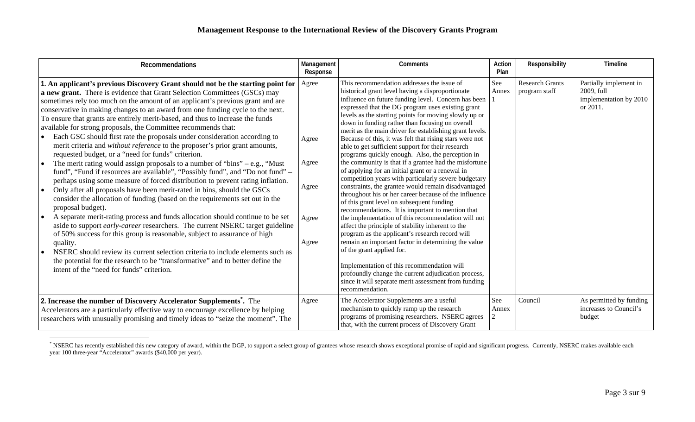| <b>Recommendations</b>                                                                                                                                                                                                                                                                                                                                                                                                                                                                                                                                                                                                                                                                                                                                                                                                                                                                                                                                                                                                                                                                                                                                                                                                                                                                                                                                                                                                                                                                                                                                                                                                    | Management<br>Response                             | Comments                                                                                                                                                                                                                                                                                                                                                                                                                                                                                                                                                                                                                                                                                                                                                                                                                                                                                                                                                                                                                                                                                                                                                                                                                                                                                                                                                                      | Action<br>Plan | Responsibility                          | Timeline                                                                   |
|---------------------------------------------------------------------------------------------------------------------------------------------------------------------------------------------------------------------------------------------------------------------------------------------------------------------------------------------------------------------------------------------------------------------------------------------------------------------------------------------------------------------------------------------------------------------------------------------------------------------------------------------------------------------------------------------------------------------------------------------------------------------------------------------------------------------------------------------------------------------------------------------------------------------------------------------------------------------------------------------------------------------------------------------------------------------------------------------------------------------------------------------------------------------------------------------------------------------------------------------------------------------------------------------------------------------------------------------------------------------------------------------------------------------------------------------------------------------------------------------------------------------------------------------------------------------------------------------------------------------------|----------------------------------------------------|-------------------------------------------------------------------------------------------------------------------------------------------------------------------------------------------------------------------------------------------------------------------------------------------------------------------------------------------------------------------------------------------------------------------------------------------------------------------------------------------------------------------------------------------------------------------------------------------------------------------------------------------------------------------------------------------------------------------------------------------------------------------------------------------------------------------------------------------------------------------------------------------------------------------------------------------------------------------------------------------------------------------------------------------------------------------------------------------------------------------------------------------------------------------------------------------------------------------------------------------------------------------------------------------------------------------------------------------------------------------------------|----------------|-----------------------------------------|----------------------------------------------------------------------------|
| 1. An applicant's previous Discovery Grant should not be the starting point for<br>a new grant. There is evidence that Grant Selection Committees (GSCs) may<br>sometimes rely too much on the amount of an applicant's previous grant and are<br>conservative in making changes to an award from one funding cycle to the next.<br>To ensure that grants are entirely merit-based, and thus to increase the funds<br>available for strong proposals, the Committee recommends that:<br>Each GSC should first rate the proposals under consideration according to<br>merit criteria and without reference to the proposer's prior grant amounts,<br>requested budget, or a "need for funds" criterion.<br>The merit rating would assign proposals to a number of "bins" $-$ e.g., "Must"<br>fund", "Fund if resources are available", "Possibly fund", and "Do not fund" –<br>perhaps using some measure of forced distribution to prevent rating inflation.<br>Only after all proposals have been merit-rated in bins, should the GSCs<br>consider the allocation of funding (based on the requirements set out in the<br>proposal budget).<br>A separate merit-rating process and funds allocation should continue to be set<br>aside to support early-career researchers. The current NSERC target guideline<br>of 50% success for this group is reasonable, subject to assurance of high<br>quality.<br>NSERC should review its current selection criteria to include elements such as<br>the potential for the research to be "transformative" and to better define the<br>intent of the "need for funds" criterion. | Agree<br>Agree<br>Agree<br>Agree<br>Agree<br>Agree | This recommendation addresses the issue of<br>historical grant level having a disproportionate<br>influence on future funding level. Concern has been<br>expressed that the DG program uses existing grant<br>levels as the starting points for moving slowly up or<br>down in funding rather than focusing on overall<br>merit as the main driver for establishing grant levels.<br>Because of this, it was felt that rising stars were not<br>able to get sufficient support for their research<br>programs quickly enough. Also, the perception in<br>the community is that if a grantee had the misfortune<br>of applying for an initial grant or a renewal in<br>competition years with particularly severe budgetary<br>constraints, the grantee would remain disadvantaged<br>throughout his or her career because of the influence<br>of this grant level on subsequent funding<br>recommendations. It is important to mention that<br>the implementation of this recommendation will not<br>affect the principle of stability inherent to the<br>program as the applicant's research record will<br>remain an important factor in determining the value<br>of the grant applied for.<br>Implementation of this recommendation will<br>profoundly change the current adjudication process,<br>since it will separate merit assessment from funding<br>recommendation. | See<br>Annex   | <b>Research Grants</b><br>program staff | Partially implement in<br>2009, full<br>implementation by 2010<br>or 2011. |
| 2. Increase the number of Discovery Accelerator Supplements <sup>*</sup> . The<br>Accelerators are a particularly effective way to encourage excellence by helping<br>researchers with unusually promising and timely ideas to "seize the moment". The                                                                                                                                                                                                                                                                                                                                                                                                                                                                                                                                                                                                                                                                                                                                                                                                                                                                                                                                                                                                                                                                                                                                                                                                                                                                                                                                                                    | Agree                                              | The Accelerator Supplements are a useful<br>mechanism to quickly ramp up the research<br>programs of promising researchers. NSERC agrees<br>that, with the current process of Discovery Grant                                                                                                                                                                                                                                                                                                                                                                                                                                                                                                                                                                                                                                                                                                                                                                                                                                                                                                                                                                                                                                                                                                                                                                                 | See<br>Annex   | Council                                 | As permitted by funding<br>increases to Council's<br>budget                |

<sup>\*</sup> NSERC has recently established this new category of award, within the DGP, to support a select group of grantees whose research shows exceptional promise of rapid and significant progress. Currently, NSERC makes availabl year 100 three-year "Accelerator" awards (\$40,000 per year).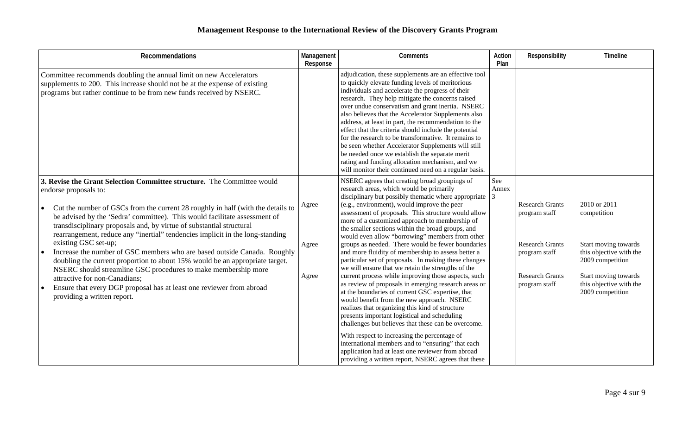| Recommendations                                                                                                                                                                                                                                                                                                                                                                                                                                                                                                                                                                                                                                                                                                                                                                                                        | Management<br>Response  | Comments                                                                                                                                                                                                                                                                                                                                                                                                                                                                                                                                                                                                                                                                                                                                                                                                                                                                                                                                                                                                                                                                                                                                                                                                                               | Action<br>Plan      | Responsibility                                                                                                                | Timeline                                                                                                                                                                  |
|------------------------------------------------------------------------------------------------------------------------------------------------------------------------------------------------------------------------------------------------------------------------------------------------------------------------------------------------------------------------------------------------------------------------------------------------------------------------------------------------------------------------------------------------------------------------------------------------------------------------------------------------------------------------------------------------------------------------------------------------------------------------------------------------------------------------|-------------------------|----------------------------------------------------------------------------------------------------------------------------------------------------------------------------------------------------------------------------------------------------------------------------------------------------------------------------------------------------------------------------------------------------------------------------------------------------------------------------------------------------------------------------------------------------------------------------------------------------------------------------------------------------------------------------------------------------------------------------------------------------------------------------------------------------------------------------------------------------------------------------------------------------------------------------------------------------------------------------------------------------------------------------------------------------------------------------------------------------------------------------------------------------------------------------------------------------------------------------------------|---------------------|-------------------------------------------------------------------------------------------------------------------------------|---------------------------------------------------------------------------------------------------------------------------------------------------------------------------|
| Committee recommends doubling the annual limit on new Accelerators<br>supplements to 200. This increase should not be at the expense of existing<br>programs but rather continue to be from new funds received by NSERC.                                                                                                                                                                                                                                                                                                                                                                                                                                                                                                                                                                                               |                         | adjudication, these supplements are an effective tool<br>to quickly elevate funding levels of meritorious<br>individuals and accelerate the progress of their<br>research. They help mitigate the concerns raised<br>over undue conservatism and grant inertia. NSERC<br>also believes that the Accelerator Supplements also<br>address, at least in part, the recommendation to the<br>effect that the criteria should include the potential<br>for the research to be transformative. It remains to<br>be seen whether Accelerator Supplements will still<br>be needed once we establish the separate merit<br>rating and funding allocation mechanism, and we<br>will monitor their continued need on a regular basis.                                                                                                                                                                                                                                                                                                                                                                                                                                                                                                              |                     |                                                                                                                               |                                                                                                                                                                           |
| 3. Revise the Grant Selection Committee structure. The Committee would<br>endorse proposals to:<br>Cut the number of GSCs from the current 28 roughly in half (with the details to<br>be advised by the 'Sedra' committee). This would facilitate assessment of<br>transdisciplinary proposals and, by virtue of substantial structural<br>rearrangement, reduce any "inertial" tendencies implicit in the long-standing<br>existing GSC set-up;<br>Increase the number of GSC members who are based outside Canada. Roughly<br>doubling the current proportion to about 15% would be an appropriate target.<br>NSERC should streamline GSC procedures to make membership more<br>attractive for non-Canadians;<br>Ensure that every DGP proposal has at least one reviewer from abroad<br>providing a written report. | Agree<br>Agree<br>Agree | NSERC agrees that creating broad groupings of<br>research areas, which would be primarily<br>disciplinary but possibly thematic where appropriate<br>(e.g., environment), would improve the peer<br>assessment of proposals. This structure would allow<br>more of a customized approach to membership of<br>the smaller sections within the broad groups, and<br>would even allow "borrowing" members from other<br>groups as needed. There would be fewer boundaries<br>and more fluidity of membership to assess better a<br>particular set of proposals. In making these changes<br>we will ensure that we retain the strengths of the<br>current process while improving those aspects, such<br>as review of proposals in emerging research areas or<br>at the boundaries of current GSC expertise, that<br>would benefit from the new approach. NSERC<br>realizes that organizing this kind of structure<br>presents important logistical and scheduling<br>challenges but believes that these can be overcome.<br>With respect to increasing the percentage of<br>international members and to "ensuring" that each<br>application had at least one reviewer from abroad<br>providing a written report, NSERC agrees that these | See<br>Annex<br>l 3 | <b>Research Grants</b><br>program staff<br><b>Research Grants</b><br>program staff<br><b>Research Grants</b><br>program staff | 2010 or 2011<br>competition<br>Start moving towards<br>this objective with the<br>2009 competition<br>Start moving towards<br>this objective with the<br>2009 competition |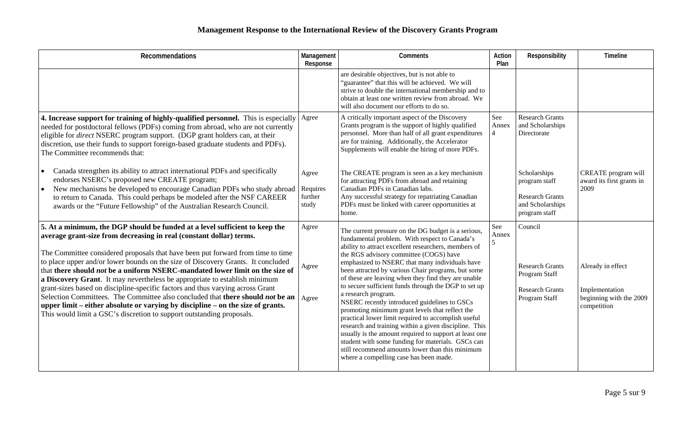| Recommendations                                                                                                                                                                                                                                                                                                                                                                                                                                                                                                                                                                                                                                                                                                                                                                                                         | Management<br>Response                | <b>Comments</b>                                                                                                                                                                                                                                                                                                                                                                                                                                                                                                                                                                                                                                                                                                                                                                                                                                                                     | Action<br>Plan                 | Responsibility                                                                                | Timeline                                                                      |
|-------------------------------------------------------------------------------------------------------------------------------------------------------------------------------------------------------------------------------------------------------------------------------------------------------------------------------------------------------------------------------------------------------------------------------------------------------------------------------------------------------------------------------------------------------------------------------------------------------------------------------------------------------------------------------------------------------------------------------------------------------------------------------------------------------------------------|---------------------------------------|-------------------------------------------------------------------------------------------------------------------------------------------------------------------------------------------------------------------------------------------------------------------------------------------------------------------------------------------------------------------------------------------------------------------------------------------------------------------------------------------------------------------------------------------------------------------------------------------------------------------------------------------------------------------------------------------------------------------------------------------------------------------------------------------------------------------------------------------------------------------------------------|--------------------------------|-----------------------------------------------------------------------------------------------|-------------------------------------------------------------------------------|
|                                                                                                                                                                                                                                                                                                                                                                                                                                                                                                                                                                                                                                                                                                                                                                                                                         |                                       | are desirable objectives, but is not able to<br>"guarantee" that this will be achieved. We will<br>strive to double the international membership and to<br>obtain at least one written review from abroad. We<br>will also document our efforts to do so.                                                                                                                                                                                                                                                                                                                                                                                                                                                                                                                                                                                                                           |                                |                                                                                               |                                                                               |
| 4. Increase support for training of highly-qualified personnel. This is especially<br>needed for postdoctoral fellows (PDFs) coming from abroad, who are not currently<br>eligible for <i>direct</i> NSERC program support. (DGP grant holders can, at their<br>discretion, use their funds to support foreign-based graduate students and PDFs).<br>The Committee recommends that:                                                                                                                                                                                                                                                                                                                                                                                                                                     | Agree                                 | A critically important aspect of the Discovery<br>Grants program is the support of highly qualified<br>personnel. More than half of all grant expenditures<br>are for training. Additionally, the Accelerator<br>Supplements will enable the hiring of more PDFs.                                                                                                                                                                                                                                                                                                                                                                                                                                                                                                                                                                                                                   | See<br>Annex<br>$\overline{4}$ | <b>Research Grants</b><br>and Scholarships<br>Directorate                                     |                                                                               |
| Canada strengthen its ability to attract international PDFs and specifically<br>endorses NSERC's proposed new CREATE program;<br>New mechanisms be developed to encourage Canadian PDFs who study abroad<br>to return to Canada. This could perhaps be modeled after the NSF CAREER<br>awards or the "Future Fellowship" of the Australian Research Council.                                                                                                                                                                                                                                                                                                                                                                                                                                                            | Agree<br>Requires<br>further<br>study | The CREATE program is seen as a key mechanism<br>for attracting PDFs from abroad and retaining<br>Canadian PDFs in Canadian labs.<br>Any successful strategy for repatriating Canadian<br>PDFs must be linked with career opportunities at<br>home.                                                                                                                                                                                                                                                                                                                                                                                                                                                                                                                                                                                                                                 |                                | Scholarships<br>program staff<br><b>Research Grants</b><br>and Scholarships<br>program staff  | CREATE program will<br>award its first grants in<br>2009                      |
| 5. At a minimum, the DGP should be funded at a level sufficient to keep the<br>average grant-size from decreasing in real (constant dollar) terms.<br>The Committee considered proposals that have been put forward from time to time<br>to place upper and/or lower bounds on the size of Discovery Grants. It concluded<br>that there should not be a uniform NSERC-mandated lower limit on the size of<br>a Discovery Grant. It may nevertheless be appropriate to establish minimum<br>grant-sizes based on discipline-specific factors and thus varying across Grant<br>Selection Committees. The Committee also concluded that there should not be an<br>upper limit – either absolute or varying by discipline – on the size of grants.<br>This would limit a GSC's discretion to support outstanding proposals. | Agree<br>Agree<br>Agree               | The current pressure on the DG budget is a serious,<br>fundamental problem. With respect to Canada's<br>ability to attract excellent researchers, members of<br>the RGS advisory committee (COGS) have<br>emphasized to NSERC that many individuals have<br>been attracted by various Chair programs, but some<br>of these are leaving when they find they are unable<br>to secure sufficient funds through the DGP to set up<br>a research program.<br>NSERC recently introduced guidelines to GSCs<br>promoting minimum grant levels that reflect the<br>practical lower limit required to accomplish useful<br>research and training within a given discipline. This<br>usually is the amount required to support at least one<br>student with some funding for materials. GSCs can<br>still recommend amounts lower than this minimum<br>where a compelling case has been made. | See<br>Annex<br>5              | Council<br><b>Research Grants</b><br>Program Staff<br><b>Research Grants</b><br>Program Staff | Already in effect<br>Implementation<br>beginning with the 2009<br>competition |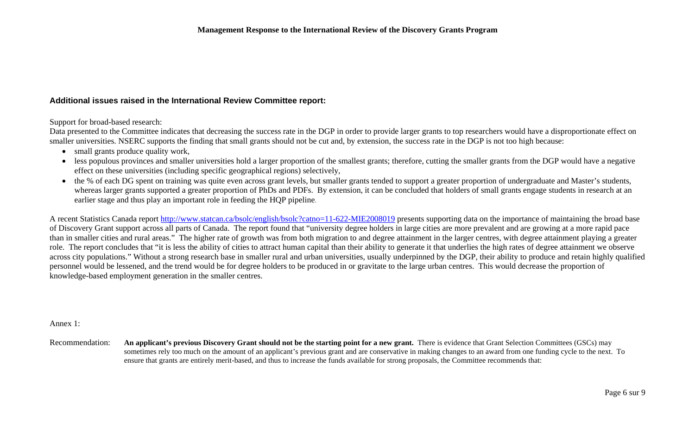## **Additional issues raised in the International Review Committee report:**

Support for broad-based research:

Data presented to the Committee indicates that decreasing the success rate in the DGP in order to provide larger grants to top researchers would have a disproportionate effect on smaller universities. NSERC supports the finding that small grants should not be cut and, by extension, the success rate in the DGP is not too high because:

- small grants produce quality work,
- less populous provinces and smaller universities hold a larger proportion of the smallest grants; therefore, cutting the smaller grants from the DGP would have a negative effect on these universities (including specific geographical regions) selectively,
- the % of each DG spent on training was quite even across grant levels, but smaller grants tended to support a greater proportion of undergraduate and Master's students, whereas larger grants supported a greater proportion of PhDs and PDFs. By extension, it can be concluded that holders of small grants engage students in research at an earlier stage and thus play an important role in feeding the HQP pipeline.

A recent Statistics Canada report http://www.statcan.ca/bsolc/english/bsolc?catno=11-622-MIE2008019 presents supporting data on the importance of maintaining the broad base of Discovery Grant support across all parts of Canada. The report found that "university degree holders in large cities are more prevalent and are growing at a more rapid pace than in smaller cities and rural areas." The higher rate of growth was from both migration to and degree attainment in the larger centres, with degree attainment playing a greater role. The report concludes that "it is less the ability of cities to attract human capital than their ability to generate it that underlies the high rates of degree attainment we observe across city populations." Without a strong research base in smaller rural and urban universities, usually underpinned by the DGP, their ability to produce and retain highly qualified personnel would be lessened, and the trend would be for degree holders to be produced in or gravitate to the large urban centres. This would decrease the proportion of knowledge-based employment generation in the smaller centres.

Annex 1:

Recommendation: **An applicant's previous Discovery Grant should not be the starting point for a new grant.** There is evidence that Grant Selection Committees (GSCs) may sometimes rely too much on the amount of an applicant's previous grant and are conservative in making changes to an award from one funding cycle to the next. To ensure that grants are entirely merit-based, and thus to increase the funds available for strong proposals, the Committee recommends that: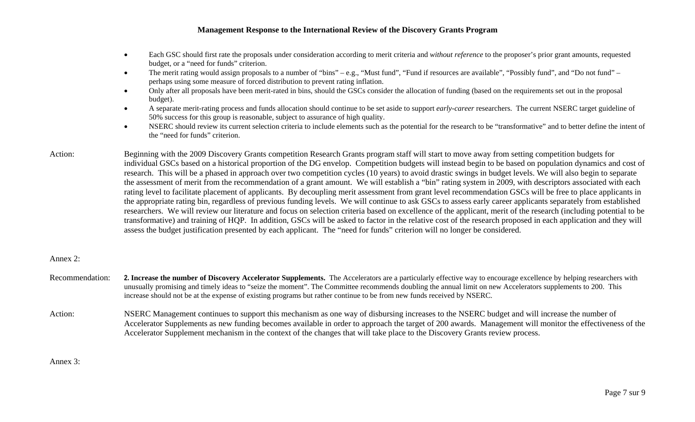- • Each GSC should first rate the proposals under consideration according to merit criteria and *without reference* to the proposer's prior grant amounts, requested budget, or a "need for funds" criterion.
- •The merit rating would assign proposals to a number of "bins" – e.g., "Must fund", "Fund if resources are available", "Possibly fund", and "Do not fund" – perhaps using some measure of forced distribution to prevent rating inflation.
- • Only after all proposals have been merit-rated in bins, should the GSCs consider the allocation of funding (based on the requirements set out in the proposal budget).
- • A separate merit-rating process and funds allocation should continue to be set aside to support *early-career* researchers. The current NSERC target guideline of 50% success for this group is reasonable, subject to assurance of high quality.
- $\bullet$  NSERC should review its current selection criteria to include elements such as the potential for the research to be "transformative" and to better define the intent of the "need for funds" criterion.
- Action: Beginning with the 2009 Discovery Grants competition Research Grants program staff will start to move away from setting competition budgets for individual GSCs based on a historical proportion of the DG envelop. Competition budgets will instead begin to be based on population dynamics and cost of research. This will be a phased in approach over two competition cycles (10 years) to avoid drastic swings in budget levels. We will also begin to separate the assessment of merit from the recommendation of a grant amount. We will establish a "bin" rating system in 2009, with descriptors associated with each rating level to facilitate placement of applicants. By decoupling merit assessment from grant level recommendation GSCs will be free to place applicants in the appropriate rating bin, regardless of previous funding levels. We will continue to ask GSCs to assess early career applicants separately from established researchers. We will review our literature and focus on selection criteria based on excellence of the applicant, merit of the research (including potential to be transformative) and training of HQP. In addition, GSCs will be asked to factor in the relative cost of the research proposed in each application and they will assess the budget justification presented by each applicant. The "need for funds" criterion will no longer be considered.

## Annex 2:

- Recommendation: 2. Increase the number of Discovery Accelerator Supplements. The Accelerators are a particularly effective way to encourage excellence by helping researchers with unusually promising and timely ideas to "seize the moment". The Committee recommends doubling the annual limit on new Accelerators supplements to 200. This increase should not be at the expense of existing programs but rather continue to be from new funds received by NSERC.
- Action: NSERC Management continues to support this mechanism as one way of disbursing increases to the NSERC budget and will increase the number of Accelerator Supplements as new funding becomes available in order to approach the target of 200 awards. Management will monitor the effectiveness of the Accelerator Supplement mechanism in the context of the changes that will take place to the Discovery Grants review process.

## Annex 3: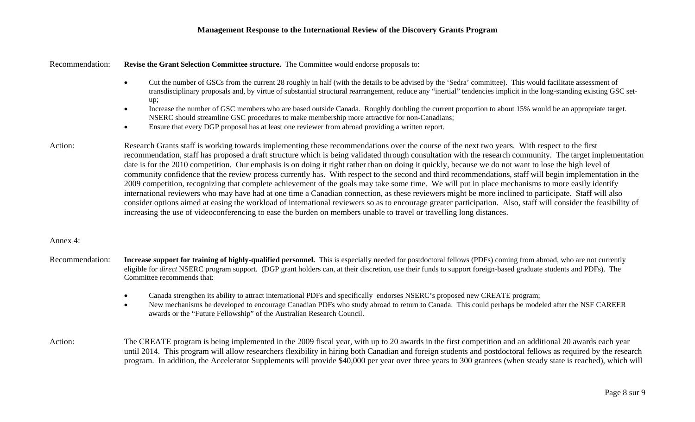Recommendation: **Revise the Grant Selection Committee structure.** The Committee would endorse proposals to:

- • Cut the number of GSCs from the current 28 roughly in half (with the details to be advised by the 'Sedra' committee). This would facilitate assessment of transdisciplinary proposals and, by virtue of substantial structural rearrangement, reduce any "inertial" tendencies implicit in the long-standing existing GSC setup;
- • Increase the number of GSC members who are based outside Canada. Roughly doubling the current proportion to about 15% would be an appropriate target. NSERC should streamline GSC procedures to make membership more attractive for non-Canadians;
- •Ensure that every DGP proposal has at least one reviewer from abroad providing a written report.
- Action: Research Grants staff is working towards implementing these recommendations over the course of the next two years. With respect to the first recommendation, staff has proposed a draft structure which is being validated through consultation with the research community. The target implementation date is for the 2010 competition. Our emphasis is on doing it right rather than on doing it quickly, because we do not want to lose the high level of community confidence that the review process currently has. With respect to the second and third recommendations, staff will begin implementation in the 2009 competition, recognizing that complete achievement of the goals may take some time. We will put in place mechanisms to more easily identify international reviewers who may have had at one time a Canadian connection, as these reviewers might be more inclined to participate. Staff will also consider options aimed at easing the workload of international reviewers so as to encourage greater participation. Also, staff will consider the feasibility of increasing the use of videoconferencing to ease the burden on members unable to travel or travelling long distances.

#### Annex 4:

- Recommendation: **Increase support for training of highly-qualified personnel.** This is especially needed for postdoctoral fellows (PDFs) coming from abroad, who are not currently eligible for *direct* NSERC program support. (DGP grant holders can, at their discretion, use their funds to support foreign-based graduate students and PDFs). The Committee recommends that:
	- •Canada strengthen its ability to attract international PDFs and specifically endorses NSERC's proposed new CREATE program;
	- • New mechanisms be developed to encourage Canadian PDFs who study abroad to return to Canada. This could perhaps be modeled after the NSF CAREER awards or the "Future Fellowship" of the Australian Research Council.
- Action: The CREATE program is being implemented in the 2009 fiscal year, with up to 20 awards in the first competition and an additional 20 awards each year until 2014. This program will allow researchers flexibility in hiring both Canadian and foreign students and postdoctoral fellows as required by the research program. In addition, the Accelerator Supplements will provide \$40,000 per year over three years to 300 grantees (when steady state is reached), which will